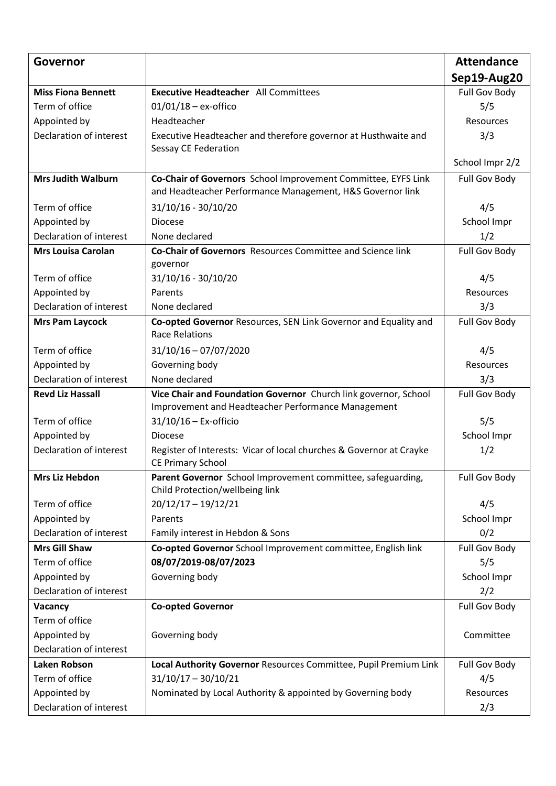| Governor                  |                                                                                                                            | <b>Attendance</b> |
|---------------------------|----------------------------------------------------------------------------------------------------------------------------|-------------------|
|                           |                                                                                                                            | Sep19-Aug20       |
| <b>Miss Fiona Bennett</b> | <b>Executive Headteacher</b> All Committees                                                                                | Full Gov Body     |
| Term of office            | $01/01/18 - ex\text{-offico}$                                                                                              | 5/5               |
| Appointed by              | Headteacher                                                                                                                | Resources         |
| Declaration of interest   | Executive Headteacher and therefore governor at Husthwaite and<br>Sessay CE Federation                                     | 3/3               |
|                           |                                                                                                                            | School Impr 2/2   |
| <b>Mrs Judith Walburn</b> | Co-Chair of Governors School Improvement Committee, EYFS Link<br>and Headteacher Performance Management, H&S Governor link | Full Gov Body     |
| Term of office            | 31/10/16 - 30/10/20                                                                                                        | 4/5               |
| Appointed by              | <b>Diocese</b>                                                                                                             | School Impr       |
| Declaration of interest   | None declared                                                                                                              | 1/2               |
| <b>Mrs Louisa Carolan</b> | Co-Chair of Governors Resources Committee and Science link<br>governor                                                     | Full Gov Body     |
| Term of office            | 31/10/16 - 30/10/20                                                                                                        | 4/5               |
| Appointed by              | Parents                                                                                                                    | Resources         |
| Declaration of interest   | None declared                                                                                                              | 3/3               |
| <b>Mrs Pam Laycock</b>    | Co-opted Governor Resources, SEN Link Governor and Equality and<br><b>Race Relations</b>                                   | Full Gov Body     |
| Term of office            | $31/10/16 - 07/07/2020$                                                                                                    | 4/5               |
| Appointed by              | Governing body                                                                                                             | Resources         |
| Declaration of interest   | None declared                                                                                                              | 3/3               |
| <b>Revd Liz Hassall</b>   | Vice Chair and Foundation Governor Church link governor, School<br>Improvement and Headteacher Performance Management      | Full Gov Body     |
| Term of office            | $31/10/16$ - Ex-officio                                                                                                    | 5/5               |
| Appointed by              | <b>Diocese</b>                                                                                                             | School Impr       |
| Declaration of interest   | Register of Interests: Vicar of local churches & Governor at Crayke<br><b>CE Primary School</b>                            | 1/2               |
| Mrs Liz Hebdon            | Parent Governor School Improvement committee, safeguarding,<br>Child Protection/wellbeing link                             | Full Gov Body     |
| Term of office            | $20/12/17 - 19/12/21$                                                                                                      | 4/5               |
| Appointed by              | Parents                                                                                                                    | School Impr       |
| Declaration of interest   | Family interest in Hebdon & Sons                                                                                           | 0/2               |
| <b>Mrs Gill Shaw</b>      | Co-opted Governor School Improvement committee, English link                                                               | Full Gov Body     |
| Term of office            | 08/07/2019-08/07/2023                                                                                                      | 5/5               |
| Appointed by              | Governing body                                                                                                             | School Impr       |
| Declaration of interest   |                                                                                                                            | 2/2               |
| Vacancy                   | <b>Co-opted Governor</b>                                                                                                   | Full Gov Body     |
| Term of office            |                                                                                                                            |                   |
| Appointed by              | Governing body                                                                                                             | Committee         |
| Declaration of interest   |                                                                                                                            |                   |
| <b>Laken Robson</b>       | Local Authority Governor Resources Committee, Pupil Premium Link                                                           | Full Gov Body     |
| Term of office            | $31/10/17 - 30/10/21$                                                                                                      | 4/5               |
| Appointed by              | Nominated by Local Authority & appointed by Governing body                                                                 | Resources         |
| Declaration of interest   |                                                                                                                            | 2/3               |